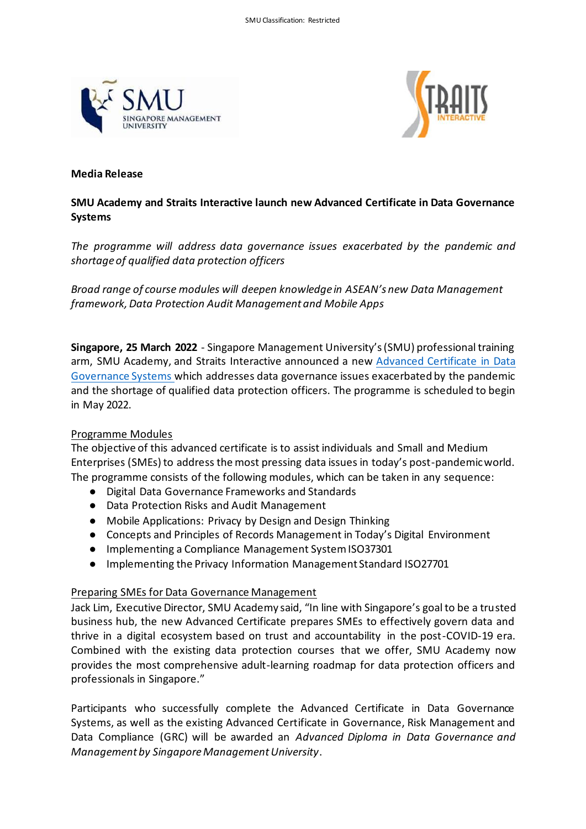



### **Media Release**

# **SMU Academy and Straits Interactive launch new Advanced Certificate in Data Governance Systems**

*The programme will address data governance issues exacerbated by the pandemic and shortage of qualified data protection officers*

*Broad range of course modules will deepen knowledge in ASEAN's new Data Management framework, Data Protection Audit Management and Mobile Apps* 

**Singapore, 25 March 2022** - Singapore Management University's (SMU) professional training arm, SMU Academy, and Straits Interactive announced a new [Advanced Certificate in Data](https://academy.smu.edu.sg/advanced-certificate-data-governance-systems-6771)  [Governance Systems](https://academy.smu.edu.sg/advanced-certificate-data-governance-systems-6771) which addresses data governance issues exacerbated by the pandemic and the shortage of qualified data protection officers. The programme is scheduled to begin in May 2022.

## Programme Modules

The objective of this advanced certificate is to assist individuals and Small and Medium Enterprises (SMEs) to address the most pressing data issues in today's post-pandemic world. The programme consists of the following modules, which can be taken in any sequence:

- Digital Data Governance Frameworks and Standards
- Data Protection Risks and Audit Management
- Mobile Applications: Privacy by Design and Design Thinking
- Concepts and Principles of Records Management in Today's Digital Environment
- Implementing a Compliance Management System ISO37301
- Implementing the Privacy Information Management Standard ISO27701

## Preparing SMEs for Data Governance Management

Jack Lim, Executive Director, SMU Academy said, "In line with Singapore's goal to be a trusted business hub, the new Advanced Certificate prepares SMEs to effectively govern data and thrive in a digital ecosystem based on trust and accountability in the post-COVID-19 era. Combined with the existing data protection courses that we offer, SMU Academy now provides the most comprehensive adult-learning roadmap for data protection officers and professionals in Singapore."

Participants who successfully complete the Advanced Certificate in Data Governance Systems, as well as the existing Advanced Certificate in Governance, Risk Management and Data Compliance (GRC) will be awarded an *Advanced Diploma in Data Governance and Management by Singapore Management University*.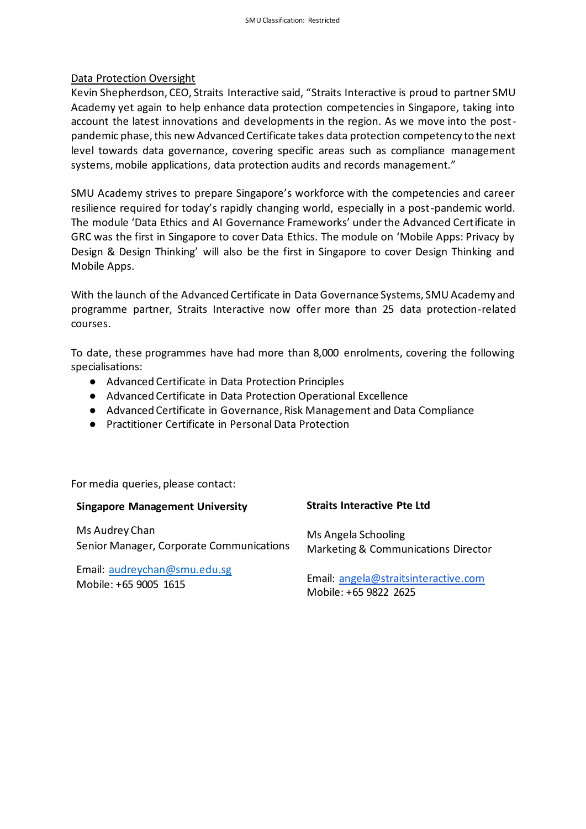### Data Protection Oversight

Kevin Shepherdson, CEO, Straits Interactive said, "Straits Interactive is proud to partner SMU Academy yet again to help enhance data protection competencies in Singapore, taking into account the latest innovations and developments in the region. As we move into the postpandemic phase, this new Advanced Certificate takes data protection competency to the next level towards data governance, covering specific areas such as compliance management systems, mobile applications, data protection audits and records management."

SMU Academy strives to prepare Singapore's workforce with the competencies and career resilience required for today's rapidly changing world, especially in a post-pandemic world. The module 'Data Ethics and AI Governance Frameworks' under the Advanced Certificate in GRC was the first in Singapore to cover Data Ethics. The module on 'Mobile Apps: Privacy by Design & Design Thinking' will also be the first in Singapore to cover Design Thinking and Mobile Apps.

With the launch of the Advanced Certificate in Data Governance Systems, SMU Academy and programme partner, Straits Interactive now offer more than 25 data protection-related courses.

To date, these programmes have had more than 8,000 enrolments, covering the following specialisations:

- Advanced Certificate in Data Protection Principles
- Advanced Certificate in Data Protection Operational Excellence
- Advanced Certificate in Governance, Risk Management and Data Compliance
- Practitioner Certificate in Personal Data Protection

For media queries, please contact:

| <b>Singapore Management University</b>   | <b>Straits Interactive Pte Ltd</b>   |
|------------------------------------------|--------------------------------------|
| Ms Audrey Chan                           | Ms Angela Schooling                  |
| Senior Manager, Corporate Communications | Marketing & Communications Director  |
| Email: audreychan@smu.edu.sg             | Email: angela@straitsinteractive.com |
| Mobile: +65 9005 1615                    | Mobile: +65 9822 2625                |